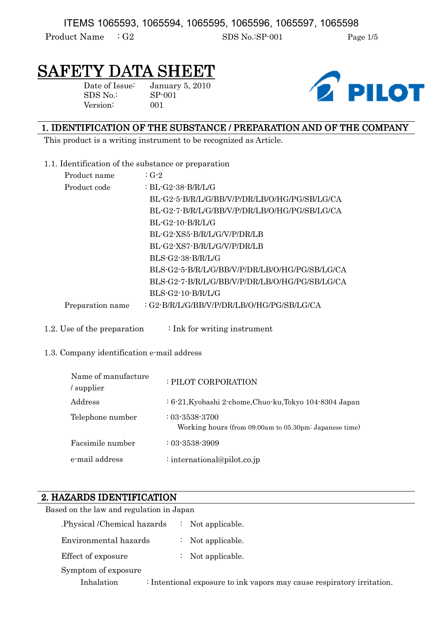ITEMS 1065593, 1065594, 1065595, 1065596, 1065597, 1065598

Product Name : G2 SDS No.:SP-001 Page 1/5

# SAFETY DATA SHEET

Date of Issue: January 5, 2010 SDS No.: SP-001 Version: 001



# 1. IDENTIFICATION OF THE SUBSTANCE / PREPARATION AND OF THE COMPANY

This product is a writing instrument to be recognized as Article.

1.1. Identification of the substance or preparation

| Product name     | $:G-2$                                         |
|------------------|------------------------------------------------|
| Product code     | : BL-G2-38-B/R/L/G                             |
|                  | BL-G2-5-B/R/L/G/BB/V/P/DR/LB/O/HG/PG/SB/LG/CA  |
|                  | BL-G2-7-B/R/L/G/BB/V/P/DR/LB/O/HG/PG/SB/LG/CA  |
|                  | $BL-G2-10-B/R/L/G$                             |
|                  | BL-G2-XS5-B/R/L/G/V/P/DR/LB                    |
|                  | BL-G2-XS7-B/R/L/G/V/P/DR/LB                    |
|                  | BLS-G2-38-B/R/L/G                              |
|                  | BLS-G2-5-B/R/L/G/BB/V/P/DR/LB/O/HG/PG/SB/LG/CA |
|                  | BLS-G2-7-B/R/L/G/BB/V/P/DR/LB/O/HG/PG/SB/LG/CA |
|                  | $BLS-G2-10-B/R/L/G$                            |
| Preparation name | : G2-B/R/L/G/BB/V/P/DR/LB/O/HG/PG/SB/LG/CA     |
|                  |                                                |

1.2. Use of the preparation  $\cdot$  Ink for writing instrument

## 1.3. Company identification e-mail address

| Name of manufacture<br>/ supplier | : PILOT CORPORATION                                                            |
|-----------------------------------|--------------------------------------------------------------------------------|
| Address                           | : 6-21, Kyobashi 2-chome, Chuo-ku, Tokyo 104-8304 Japan                        |
| Telephone number                  | $: 03 - 3538 - 3700$<br>Working hours (from 09.00am to 05.30pm: Japanese time) |
| Facsimile number                  | $: 03 - 3538 - 3909$                                                           |
| e-mail address                    | : international@pilot.co.jp                                                    |

# 2. HAZARDS IDENTIFICATION

| Based on the law and regulation in Japan |                                                                        |  |
|------------------------------------------|------------------------------------------------------------------------|--|
| Physical /Chemical hazards               | : Not applicable.                                                      |  |
| Environmental hazards                    | Not applicable.                                                        |  |
| Effect of exposure                       | : Not applicable.                                                      |  |
| Symptom of exposure                      |                                                                        |  |
| Inhalation                               | : Intentional exposure to ink vapors may cause respiratory irritation. |  |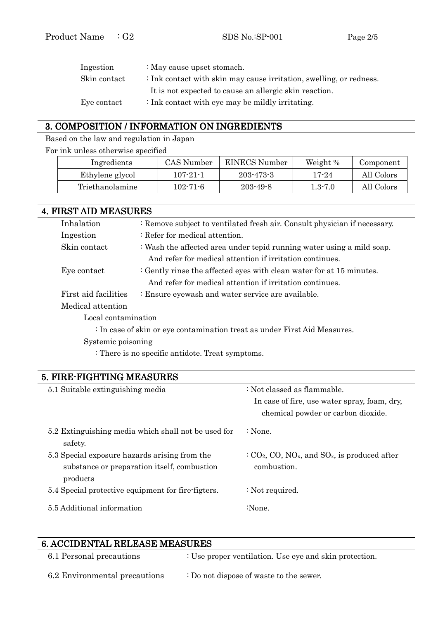| Ingestion    | : May cause upset stomach.                                                     |
|--------------|--------------------------------------------------------------------------------|
| Skin contact | $\therefore$ Ink contact with skin may cause irritation, swelling, or redness. |
|              | It is not expected to cause an allergic skin reaction.                         |
| Eye contact  | : Ink contact with eye may be mildly irritating.                               |

# 3. COMPOSITION / INFORMATION ON INGREDIENTS

Based on the law and regulation in Japan

For ink unless otherwise specified

| Ingredients     | CAS Number     | EINECS Number  | Weight %    | Component  |
|-----------------|----------------|----------------|-------------|------------|
| Ethylene glycol | 107-21-1       | 203-473-3      | 17-24       | All Colors |
| Triethanolamine | $102 - 71 - 6$ | $203 - 49 - 8$ | $1.3 - 7.0$ | All Colors |

| <b>4. FIRST AID MEASURES</b> |                                                                           |  |  |
|------------------------------|---------------------------------------------------------------------------|--|--|
| Inhalation                   | : Remove subject to ventilated fresh air. Consult physician if necessary. |  |  |
| Ingestion                    | : Refer for medical attention.                                            |  |  |
| Skin contact                 | : Wash the affected area under tepid running water using a mild soap.     |  |  |
|                              | And refer for medical attention if irritation continues.                  |  |  |
| Eye contact                  | : Gently rinse the affected eyes with clean water for at $15$ minutes.    |  |  |
|                              | And refer for medical attention if irritation continues.                  |  |  |
| First aid facilities         | : Ensure eyewash and water service are available.                         |  |  |
| Medical attention            |                                                                           |  |  |
| Local contamination          |                                                                           |  |  |
|                              | : In case of skin or eye contamination treat as under First Aid Measures. |  |  |
| Systemic poisoning           |                                                                           |  |  |

: There is no specific antidote. Treat symptoms.

# 5. FIRE-FIGHTING MEASURES 5.1 Suitable extinguishing media : Not classed as flammable. In case of fire, use water spray, foam, dry, chemical powder or carbon dioxide. 5.2 Extinguishing media which shall not be used for safety. : None. 5.3 Special exposure hazards arising from the substance or preparation itself, combustion products :  $CO<sub>2</sub>$ ,  $CO<sub>x</sub>$ ,  $NO<sub>x</sub>$ , and  $SO<sub>x</sub>$ , is produced after combustion. 5.4 Special protective equipment for fire-figters.  $\therefore$  Not required. 5.5 Additional information : None.

# 6. ACCIDENTAL RELEASE MEASURES

| 6.1 Personal precautions      | : Use proper ventilation. Use eye and skin protection. |
|-------------------------------|--------------------------------------------------------|
| 6.2 Environmental precautions | : Do not dispose of waste to the sewer.                |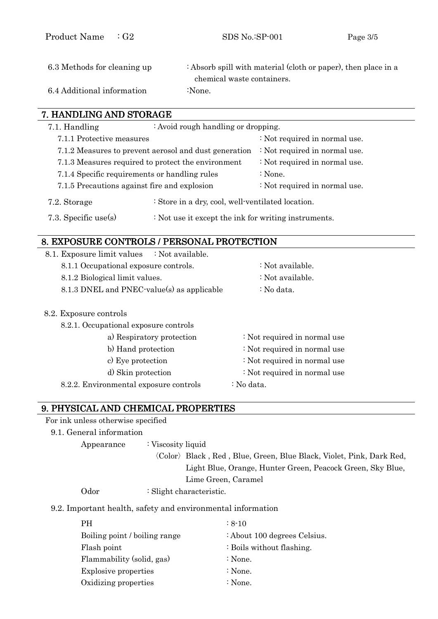| 6.3 Methods for cleaning up | : Absorb spill with material (cloth or paper), then place in a |
|-----------------------------|----------------------------------------------------------------|
|                             | chemical waste containers.                                     |
| 6.4 Additional information  | :None.                                                         |

## 7. HANDLING AND STORAGE

| 7.1. Handling<br>: Avoid rough handling or dropping.                              |                                                    |                                                       |                               |
|-----------------------------------------------------------------------------------|----------------------------------------------------|-------------------------------------------------------|-------------------------------|
|                                                                                   | 7.1.1 Protective measures                          |                                                       | : Not required in normal use. |
|                                                                                   |                                                    | 7.1.2 Measures to prevent aerosol and dust generation | : Not required in normal use. |
|                                                                                   | 7.1.3 Measures required to protect the environment |                                                       | : Not required in normal use. |
| 7.1.4 Specific requirements or handling rules                                     |                                                    |                                                       | $\therefore$ None.            |
|                                                                                   | 7.1.5 Precautions against fire and explosion       |                                                       | : Not required in normal use. |
| : Store in a dry, cool, well-ventilated location.<br>7.2. Storage                 |                                                    |                                                       |                               |
| 7.3. Specific use(s)<br>$\div$ Not use it except the ink for writing instruments. |                                                    |                                                       |                               |
|                                                                                   |                                                    |                                                       |                               |

## 8. EXPOSURE CONTROLS / PERSONAL PROTECTION

| 8.1. Exposure limit values : Not available. |                                       |
|---------------------------------------------|---------------------------------------|
| 8.1.1 Occupational exposure controls.       | : Not available.                      |
| 8.1.2 Biological limit values.              | : Not available.                      |
| 8.1.3 DNEL and PNEC-value(s) as applicable  | : No data.                            |
| 8.2. Exposure controls                      |                                       |
| 8.2.1. Occupational exposure controls       |                                       |
| $\alpha$ ) Decreitations materials          | $\cdot$ Met nooning d in normaal uses |

| a) Respiratory protection              | : Not required in normal use |
|----------------------------------------|------------------------------|
| b) Hand protection                     | : Not required in normal use |
| c) Eye protection                      | : Not required in normal use |
| d) Skin protection                     | : Not required in normal use |
| 8.2.2. Environmental exposure controls | : No data.                   |

## 9. PHYSICAL AND CHEMICAL PROPERTIES

| For ink unless otherwise specified |
|------------------------------------|
|                                    |

#### 9.1. General information

Appearance : Viscosity liquid

〈Color〉Black , Red , Blue, Green, Blue Black, Violet, Pink, Dark Red, Light Blue, Orange, Hunter Green, Peacock Green, Sky Blue, Lime Green, Caramel

Odor : Slight characteristic.

#### 9.2. Important health, safety and environmental information

| <b>PH</b>                     | $\div 8 - 10$                |
|-------------------------------|------------------------------|
| Boiling point / boiling range | : About 100 degrees Celsius. |
| Flash point                   | : Boils without flashing.    |
| Flammability (solid, gas)     | : None.                      |
| Explosive properties          | : None.                      |
| Oxidizing properties          | : None.                      |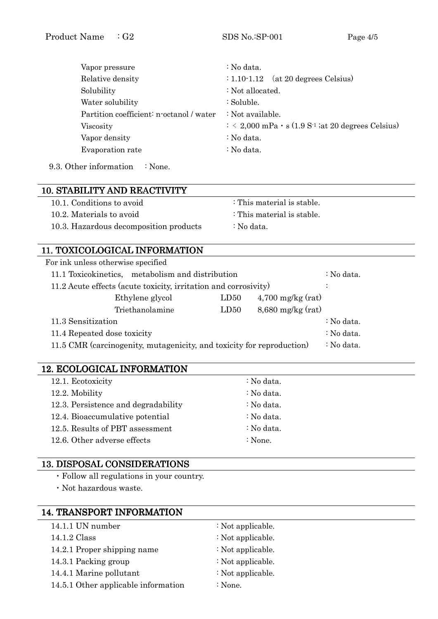| Vapor pressure                           | : No data.                                                                       |
|------------------------------------------|----------------------------------------------------------------------------------|
| Relative density                         | (at 20 degrees Celsius)<br>$: 1.10 - 1.12$                                       |
| Solubility                               | : Not allocated.                                                                 |
| Water solubility                         | : Soluble.                                                                       |
| Partition coefficient: n-octanol / water | : Not available.                                                                 |
| <b>Viscosity</b>                         | $\therefore$ < 2,000 mPa $\cdot$ s (1.9 S <sup>-1</sup> ; at 20 degrees Celsius) |
| Vapor density                            | : No data.                                                                       |
| Evaporation rate                         | : No data.                                                                       |
|                                          |                                                                                  |

9.3. Other information : None.

# 10. STABILITY AND REACTIVITY AND REACTIVITY

| 10.1. Conditions to avoid              | : This material is stable. |
|----------------------------------------|----------------------------|
| 10.2. Materials to avoid               | : This material is stable. |
| 10.3. Hazardous decomposition products | : No data.                 |

# 11. TOXICOLOGICAL INFORMATION

| For ink unless otherwise specified                                    |      |                     |            |
|-----------------------------------------------------------------------|------|---------------------|------------|
| 11.1 Toxicokinetics, metabolism and distribution                      |      |                     | : No data. |
| 11.2 Acute effects (acute toxicity, irritation and corrosivity)       |      |                     |            |
| Ethylene glycol                                                       | LD50 | $4,700$ mg/kg (rat) |            |
| Triethanolamine                                                       | LD50 | $8,680$ mg/kg (rat) |            |
| 11.3 Sensitization                                                    |      |                     | : No data. |
| 11.4 Repeated dose toxicity                                           |      |                     | : No data. |
| 11.5 CMR (carcinogenity, mutagenicity, and toxicity for reproduction) |      |                     | : No data. |
|                                                                       |      |                     |            |

# 12. ECOLOGICAL INFORMATION

| 12.1. Ecotoxicity                   | : No data. |
|-------------------------------------|------------|
| 12.2. Mobility                      | : No data. |
| 12.3. Persistence and degradability | : No data. |
| 12.4. Bioaccumulative potential     | : No data. |
| 12.5. Results of PBT assessment     | : No data. |
| 12.6. Other adverse effects         | : None.    |
|                                     |            |

## 13. DISPOSAL CONSIDERATIONS

・Follow all regulations in your country.

・Not hazardous waste.

## 14. TRANSPORT INFORMATION

| 14.1.1 UN number                    | : Not applicable. |
|-------------------------------------|-------------------|
| 14.1.2 Class                        | : Not applicable. |
| 14.2.1 Proper shipping name         | : Not applicable. |
| 14.3.1 Packing group                | : Not applicable. |
| 14.4.1 Marine pollutant             | : Not applicable. |
| 14.5.1 Other applicable information | : None.           |